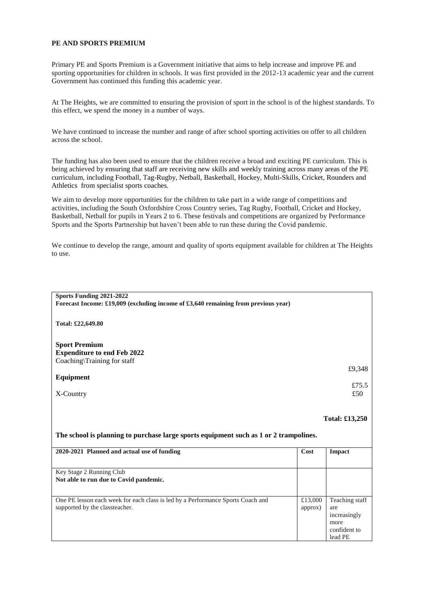Primary PE and Sports Premium is a Government initiative that aims to help increase and improve PE and sporting opportunities for children in schools. It was first provided in the 2012-13 academic year and the current Government has continued this funding this academic year.

At The Heights, we are committed to ensuring the provision of sport in the school is of the highest standards. To this effect, we spend the money in a number of ways.

We have continued to increase the number and range of after school sporting activities on offer to all children across the school.

The funding has also been used to ensure that the children receive a broad and exciting PE curriculum. This is being achieved by ensuring that staff are receiving new skills and weekly training across many areas of the PE curriculum, including Football, Tag-Rugby, Netball, Basketball, Hockey, Multi-Skills, Cricket, Rounders and Athletics from specialist sports coaches.

We aim to develop more opportunities for the children to take part in a wide range of competitions and activities, including the South Oxfordshire Cross Country series, Tag Rugby, Football, Cricket and Hockey, Basketball, Netball for pupils in Years 2 to 6. These festivals and competitions are organized by Performance Sports and the Sports Partnership but haven't been able to run these during the Covid pandemic.

We continue to develop the range, amount and quality of sports equipment available for children at The Heights to use.

| Sports Funding 2021-2022                                                              |      |                |  |
|---------------------------------------------------------------------------------------|------|----------------|--|
| Forecast Income: £19,009 (excluding income of £3,640 remaining from previous year)    |      |                |  |
| Total: £22,649.80                                                                     |      |                |  |
| <b>Sport Premium</b>                                                                  |      |                |  |
|                                                                                       |      |                |  |
| <b>Expenditure to end Feb 2022</b>                                                    |      |                |  |
| Coaching\Training for staff                                                           |      |                |  |
|                                                                                       |      | £9,348         |  |
| Equipment                                                                             |      |                |  |
|                                                                                       |      | £75.5          |  |
|                                                                                       |      | £50            |  |
| X-Country                                                                             |      |                |  |
|                                                                                       |      |                |  |
|                                                                                       |      |                |  |
|                                                                                       |      | Total: £13,250 |  |
|                                                                                       |      |                |  |
| The school is planning to purchase large sports equipment such as 1 or 2 trampolines. |      |                |  |
| 2020-2021 Planned and actual use of funding                                           | Cost | <b>Impact</b>  |  |
|                                                                                       |      |                |  |

| Key Stage 2 Running Club                                                        |         |                |
|---------------------------------------------------------------------------------|---------|----------------|
| Not able to run due to Covid pandemic.                                          |         |                |
|                                                                                 |         |                |
| One PE lesson each week for each class is led by a Performance Sports Coach and | £13,000 | Teaching staff |
| supported by the classteacher.                                                  | approx) | are            |
|                                                                                 |         | increasingly   |
|                                                                                 |         | more           |
|                                                                                 |         | confident to   |
|                                                                                 |         | lead PE        |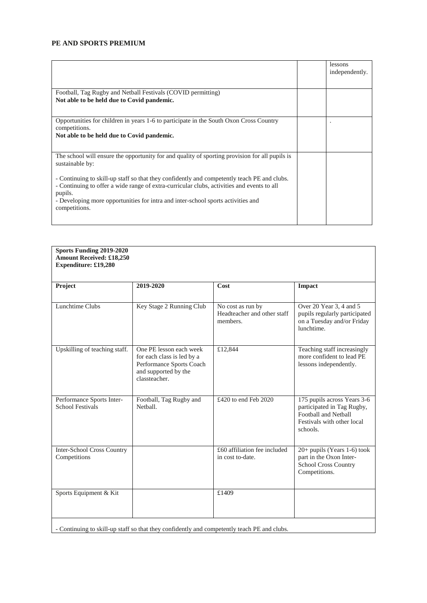|                                                                                                                                                                                                                                                                                                                                                                                                                                | lessons<br>independently. |
|--------------------------------------------------------------------------------------------------------------------------------------------------------------------------------------------------------------------------------------------------------------------------------------------------------------------------------------------------------------------------------------------------------------------------------|---------------------------|
| Football, Tag Rugby and Netball Festivals (COVID permitting)<br>Not able to be held due to Covid pandemic.                                                                                                                                                                                                                                                                                                                     |                           |
| Opportunities for children in years 1-6 to participate in the South Oxon Cross Country<br>competitions.<br>Not able to be held due to Covid pandemic.                                                                                                                                                                                                                                                                          |                           |
| The school will ensure the opportunity for and quality of sporting provision for all pupils is<br>sustainable by:<br>- Continuing to skill-up staff so that they confidently and competently teach PE and clubs.<br>- Continuing to offer a wide range of extra-curricular clubs, activities and events to all<br>pupils.<br>- Developing more opportunities for intra and inter-school sports activities and<br>competitions. |                           |

| Project                                              | 2019-2020                                                                                                                  | Cost                                                         | <b>Impact</b>                                                                                                                      |
|------------------------------------------------------|----------------------------------------------------------------------------------------------------------------------------|--------------------------------------------------------------|------------------------------------------------------------------------------------------------------------------------------------|
|                                                      |                                                                                                                            |                                                              |                                                                                                                                    |
| Lunchtime Clubs                                      | Key Stage 2 Running Club                                                                                                   | No cost as run by<br>Headteacher and other staff<br>members. | Over 20 Year 3, 4 and 5<br>pupils regularly participated<br>on a Tuesday and/or Friday<br>lunchtime.                               |
| Upskilling of teaching staff.                        | One PE lesson each week<br>for each class is led by a<br>Performance Sports Coach<br>and supported by the<br>classteacher. | £12,844                                                      | Teaching staff increasingly<br>more confident to lead PE<br>lessons independently.                                                 |
| Performance Sports Inter-<br><b>School Festivals</b> | Football, Tag Rugby and<br>Netball.                                                                                        | £420 to end Feb 2020                                         | 175 pupils across Years 3-6<br>participated in Tag Rugby,<br><b>Football and Netball</b><br>Festivals with other local<br>schools. |
| <b>Inter-School Cross Country</b><br>Competitions    |                                                                                                                            | £60 affiliation fee included<br>in cost to-date.             | 20+ pupils (Years 1-6) took<br>part in the Oxon Inter-<br><b>School Cross Country</b><br>Competitions.                             |
| Sports Equipment & Kit                               |                                                                                                                            | £1409                                                        |                                                                                                                                    |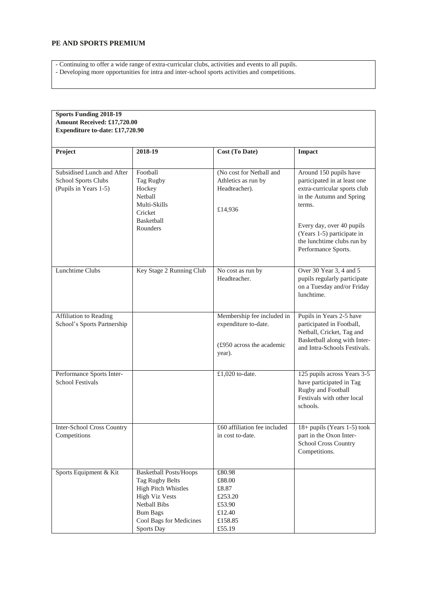- Continuing to offer a wide range of extra-curricular clubs, activities and events to all pupils.

- Developing more opportunities for intra and inter-school sports activities and competitions.

| <b>Sports Funding 2018-19</b><br>Amount Received: £17,720.00<br><b>Expenditure to-date: £17,720.90</b> |                                                                                                                                                                                            |                                                                                           |                                                                                                                                                                                                                                              |
|--------------------------------------------------------------------------------------------------------|--------------------------------------------------------------------------------------------------------------------------------------------------------------------------------------------|-------------------------------------------------------------------------------------------|----------------------------------------------------------------------------------------------------------------------------------------------------------------------------------------------------------------------------------------------|
| Project                                                                                                | 2018-19                                                                                                                                                                                    | Cost (To Date)                                                                            | Impact                                                                                                                                                                                                                                       |
| Subsidised Lunch and After<br>School Sports Clubs<br>(Pupils in Years 1-5)                             | Football<br>Tag Rugby<br>Hockey<br>Netball<br>Multi-Skills<br>Cricket<br><b>Basketball</b><br>Rounders                                                                                     | (No cost for Netball and<br>Athletics as run by<br>Headteacher).<br>£14,936               | Around 150 pupils have<br>participated in at least one<br>extra-curricular sports club<br>in the Autumn and Spring<br>terms.<br>Every day, over 40 pupils<br>(Years 1-5) participate in<br>the lunchtime clubs run by<br>Performance Sports. |
| Lunchtime Clubs                                                                                        | Key Stage 2 Running Club                                                                                                                                                                   | No cost as run by<br>Headteacher.                                                         | Over 30 Year 3, 4 and 5<br>pupils regularly participate<br>on a Tuesday and/or Friday<br>lunchtime.                                                                                                                                          |
| Affiliation to Reading<br>School's Sports Partnership                                                  |                                                                                                                                                                                            | Membership fee included in<br>expenditure to-date.<br>(£950 across the academic<br>year). | Pupils in Years 2-5 have<br>participated in Football,<br>Netball, Cricket, Tag and<br>Basketball along with Inter-<br>and Intra-Schools Festivals.                                                                                           |
| Performance Sports Inter-<br><b>School Festivals</b>                                                   |                                                                                                                                                                                            | £1,020 to-date.                                                                           | 125 pupils across Years 3-5<br>have participated in Tag<br>Rugby and Football<br>Festivals with other local<br>schools.                                                                                                                      |
| Inter-School Cross Country<br>Competitions                                                             |                                                                                                                                                                                            | £60 affiliation fee included<br>in cost to-date.                                          | 18+ pupils (Years 1-5) took<br>part in the Oxon Inter-<br><b>School Cross Country</b><br>Competitions.                                                                                                                                       |
| Sports Equipment & Kit                                                                                 | <b>Basketball Posts/Hoops</b><br><b>Tag Rugby Belts</b><br>High Pitch Whistles<br><b>High Viz Vests</b><br><b>Netball Bibs</b><br><b>Bum Bags</b><br>Cool Bags for Medicines<br>Sports Day | £80.98<br>£88.00<br>£8.87<br>£253.20<br>£53.90<br>£12.40<br>£158.85<br>£55.19             |                                                                                                                                                                                                                                              |